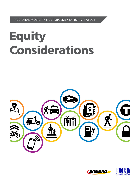REGIONAL MOBILITY HUB IMPLEMENTATION STRATEGY

# **Equity** Considerations



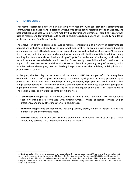# I. INTRODUCTION

This memo represents a first step in assessing how mobility hubs can best serve disadvantaged communities in San Diego and Imperial counties. Some of the equity-related benefits, challenges, and best practices associated with different mobility hub features are identified. These findings are then used to recommend features that could benefit disadvantaged populations at 11 mobility hub design prototypes around San Diego County.

The analysis of equity is complex because it requires consideration of a variety of disadvantaged populations with different needs, which can sometimes conflict. For example, walking and bicycling are among the most affordable ways to get around, and are well-suited for short trips. At the same time, walking and bicycling may be challenging for seniors with limited mobility. In addition, many mobility hub features such as bikeshare, drop-off spots for on-demand ridesharing, and real-time travel information are relatively new in practice. Consequently, there is limited information on the impacts of these features on social equity. However, there is a growing body of research, which includes real-world examples, that can clearly guide planners toward establishing mobility hubs that promote social equity.

In the past, the San Diego Association of Governments (SANDAG) analyses of social equity have examined the impact of projects on a variety of disadvantaged groups, including people living in poverty, households with limited English proficiency, unemployed people, and people with less than a high school education. The current SANDAG analysis focuses on three key disadvantaged groups, highlighted below. These groups were the focus of the equity analysis for San Diego Forward: The Regional Plan, and we use the same definitions here:

- Low-income: People age [1](#page-1-0)6 and over earning less than \$25,000<sup>1</sup> per year. SANDAG has found that low incomes are correlated with unemployment, limited education, limited English proficiency, and many other indicators of disadvantage.
- **Minority**: People who are non-white, including Latinos, blacks, American Indians, Asians, and members of other or multiple races.
- **Seniors:** People age 75 and over. SANDAG stakeholders have identified 75 as an age at which seniors may become transit-dependent, but are still mobile.

<span id="page-1-0"></span><sup>1</sup> SANDAG has defined low-income households as households with incomes at or below 200 percent of the federal poverty level, in order to account for the high cost of living in the San Diego region. For example, \$25,000 is roughly double the 2016 federal threshold for individual poverty status, which is \$11,880. The income threshold in the American Community Survey that is closest to twice that value is used and the dollar threshold is adjusted based on the year and the number of people in a household.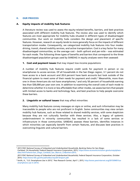## II. OUR PROCESS

## A. Equity impacts of mobility hub features

A literature review was used to assess the equity-related benefits, barriers, and best practices associated with different mobility hub features. The review also was used to identify which features are most appropriate for mobility hubs situated in different types of disadvantaged communities. Our work on mobility hubs considers the design and placement of specific features. However, research on equity tends to more generally focus on the impacts of different transportation modes. Consequently, we categorized mobility hub features into four modes: driving, transit, shared mobility services, and active transportation. Cost is a key factor for many disadvantaged communities, so the average cost – both upfront and per-mile – was estimated for each mode. The following three types of benefits and barriers that correspond to the three disadvantaged population groups used by SANDAG in equity analyses were then assessed:

### **1. Cost and payment issues** that may impact low-income populations:

A number of mobility hub features require credit cards for payment in person or via smartphones to access services. Of all households in the San Diego region, 3.1 percent do not have access to a bank account and 20.6 percent have bank accounts but look outside of the financial system to meet some of their needs for payment and credit.[2](#page-2-0) Meanwhile, more than one in three Americans do not have smartphones,<sup>[3](#page-2-1)</sup> and only 50 percent of households earning less than \$30,000 per year own one. In addition to examining the overall costs of each mode to determine whether it is more or less affordable than other modes, we assess barriers that people with limited access to banks and technology face, and best practices to help people overcome these barriers.

## 2. Linguistic or cultural issues that may affect minorities:

Many mobility hub features convey messages on signs or online, and such information may be inaccessible to people who are not proficient in English. Some communities may view certain mobility hub features, such as those related to shared mobility services, with some skepticism because they are not culturally familiar with these services. Also, a legacy of systemic underinvestment in minority communities has resulted in a lack of some services or infrastructure in those communities. SANDAG assesses these barriers, identifies instances in which minorities can especially benefit from certain features, and discusses best practices in overcoming linguistic and cultural barriers.

<span id="page-2-0"></span> $\overline{\phantom{a}}$ <sup>2</sup> 2015 FDIC National Survey of Unbanked and Underbanked Households, Banking Status for San Diego-*Carlsbad, CA Households*, Federal Deposit Insurance Corporation, 2015[, https://www.economicinclusion.gov/surveys/place](https://www.economicinclusion.gov/surveys/place-data.html?where=San_Diego_Carlsbad_San_Marcos_CA&when=2015)[data.html?where=San\\_Diego\\_Carlsbad\\_San\\_Marcos\\_CA&when=2015.](https://www.economicinclusion.gov/surveys/place-data.html?where=San_Diego_Carlsbad_San_Marcos_CA&when=2015)

*<sup>2013</sup> FDIC National Survey of Unbanked and Underbanked Households*, Federal Deposit Insurance Corporation, October 2014[, https://www.fdic.gov/householdsurvey/2013report.pdf.](https://www.fdic.gov/householdsurvey/2013report.pdf)

<span id="page-2-1"></span><sup>&</sup>lt;sup>3</sup> Smith, A., "U.S. Smartphone Use in 2015," Pew Research Center, April 1, 2015[, http://www.pewinternet.org/2015/04/01/us](http://www.pewinternet.org/2015/04/01/us-smartphone-use-in-2015/)[smartphone-use-in-2015/.](http://www.pewinternet.org/2015/04/01/us-smartphone-use-in-2015/)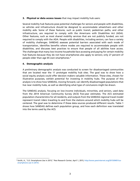**3. Physical or data access issues** that may impact mobility hub users:

Several mobility hub features pose potential challenges for seniors and people with disabilities, so vehicles and infrastructure should be designed to accommodate wheelchairs and other mobility aids. Some of these features, such as public transit, pedestrian paths, and other infrastructure, are required to comply with the Americans with Disabilities Act (ADA). Other features, such as most shared mobility services that are not publicly funded, are not required to comply with the ADA. People with disabilities, including seniors, can face a variety of mobility challenges. SANDAG assesses potential barriers associated with each mode of transportation, identifies benefits where modes are required to accommodate people with disabilities, and discusses best practices to ensure that people of all abilities have access. The challenges that many low-income households face accessing and paying for certain mobility hub features because they do not have smartphones also apply to seniors; only 27 percent of people older than age 65 own smartphones.<sup>[4](#page-3-0)</sup>

# 4. Demographic analysis

A preliminary demographic analysis was conducted to screen for disadvantaged communities that are located near the 11 prototype mobility hub sites. The goal was to show how a social equity analysis could offer decision makers valuable information. These sites, chosen for illustrative purposes, exhibit potential for investing in mobility hubs. The purpose of this analysis is to show how SANDAG, moving forward, can identify disadvantaged populations that live near mobility hubs, as well as identifying what type of conclusions might be drawn.

The SANDAG analysis, focusing on low-income individuals, minorities, and seniors, used data from the 2014 American Community Survey (ACS) five-year estimates. The ACS estimated population characteristics for all residents, and outputs from the SANDAG regional travel model represent transit riders traveling to and from the stations around which mobility hubs will be centered. The goal was to determine if these data sources produced different results. [Table 1](#page-4-0) shows how SANDAG defines each population group, and how each definition was translated into the terms used by the ACS.

<span id="page-3-0"></span> $\overline{\phantom{a}}$ <sup>4</sup> Smith, A., "U.S. Smartphone Use in 2015," Pew Research Center, April 1, 2015[, http://www.pewinternet.org/2015/04/01/us](http://www.pewinternet.org/2015/04/01/us-smartphone-use-in-2015/)[smartphone-use-in-2015/.](http://www.pewinternet.org/2015/04/01/us-smartphone-use-in-2015/)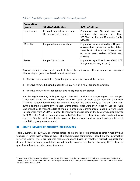| <b>Population</b><br>group | <b>SANDAG definition</b>                                   | <b>ACS definition</b>                                                                                                                                                        |
|----------------------------|------------------------------------------------------------|------------------------------------------------------------------------------------------------------------------------------------------------------------------------------|
| Low-income                 | People living below two times<br>the federal poverty level | Population age 16 and over with<br>earnings who earned less<br>than<br>$$25,000*$ <sup>5</sup> in the past 12 months (table<br>B20001)                                       |
| Minority                   | People who are non-white                                   | Population where ethnicity = Hispanic<br>or race = Black, American Indian, Asian,<br>Hawaiian/Pacific Islander, Other, or two<br>or more races (tables B02001 and<br>B03002) |
| Senior                     | People 75 and older                                        | Population age 75 and over (2014 ACS<br>five-year estimates, B01001)                                                                                                         |

### <span id="page-4-0"></span>*Table 1: Population groups considered in the equity analysis*

Because mobility hubs enable people to travel to stations by different modes, we examined disadvantaged groups within different travelsheds:

- 1. The five-minute walkshed (about a quarter of a mile) around the station
- 2. The five-minute bikeshed (about three quarters of a mile) around the station
- 3. The five-minute driveshed (about two miles) around the station

For the eight mobility hub prototypes identified in the San Diego region, we mapped travelsheds based on network travel distances using detailed street network data from SANDAG. Street network data for Imperial County was unavailable, so "as the crow flies" buffers to map travelsheds were used. Demographic data were then joined to Census TIGER/ Line shapefiles to map ACS data at the block group scale. Demographic data also were joined to shapefiles from SANDAG in order to map travel model data at the Master Geographic Area (MGRA) scale. Next, all block groups or MGRAs that were touching each travelshed were selected. Finally, total households across all block groups and in each travelshed for each population group were summed.

### III. EQUITY IMPACTS OF MOBILITY HUB FEATURES

l

Table 2 summarizes SANDAG recommendations to emphasize or de-emphasize certain mobility hub features in areas with different types of disadvantaged communities based on the information reviewed above. These are general recommendations based on whether research suggests that different disadvantaged populations would benefit from or face barriers to using the features in question. A key is provided below the table.

<span id="page-4-1"></span><sup>&</sup>lt;sup>5</sup> The ACS provides data on people who are below the poverty line, but not people at or below 200 percent of the federal poverty level. Since the threshold for individual poverty status is \$11,880, the income cut point in the ACS that is the closest to twice that value is used.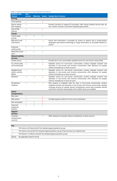# *Table 2: Summary assessment of key mobility hub features*

| <b>Mobility Hub</b><br><b>Feature</b>       | Low-<br><b>Income</b> | <b>Minority</b>   |                   | <b>Senior</b> Sample Best Practices                                                                                                                                                                                                                                                                                                |
|---------------------------------------------|-----------------------|-------------------|-------------------|------------------------------------------------------------------------------------------------------------------------------------------------------------------------------------------------------------------------------------------------------------------------------------------------------------------------------------|
| <b>Driving</b>                              |                       |                   |                   |                                                                                                                                                                                                                                                                                                                                    |
| Smart parking                               |                       |                   |                   |                                                                                                                                                                                                                                                                                                                                    |
| Electric vehicle<br>(EV) charging           | $\leftrightarrow$     |                   |                   | Provide incentives to support EV purchases; offer shared mobility services that use<br>EVs; conduct outreach to promote charging opportunities                                                                                                                                                                                     |
| Park & Ride<br><b>Stations</b>              |                       |                   |                   |                                                                                                                                                                                                                                                                                                                                    |
| <b>Transit</b>                              |                       |                   |                   |                                                                                                                                                                                                                                                                                                                                    |
| Transit signal<br>priority                  |                       |                   |                   |                                                                                                                                                                                                                                                                                                                                    |
| Real-time travel<br>information             |                       | $\leftrightarrow$ | $\leftrightarrow$ | Ensure that information is provided via screens at stations and in locally-spoken<br>languages; pilot beacon technology to target information on accessible features to<br>seniors                                                                                                                                                 |
| Enhanced<br>waiting areas                   |                       |                   |                   |                                                                                                                                                                                                                                                                                                                                    |
| Dedicated transit<br>lanes                  |                       |                   |                   |                                                                                                                                                                                                                                                                                                                                    |
| <b>Shared mobility</b><br>services          |                       |                   |                   |                                                                                                                                                                                                                                                                                                                                    |
| Shuttle service                             | $\leftrightarrow$     |                   |                   | Provide free or low-cost shuttles; subsidize service for low-income communities                                                                                                                                                                                                                                                    |
| Car, electric bike,<br>and scootershare     | $\leftrightarrow$     | $\leftrightarrow$ |                   | Subsidize service for low-income communities; conduct targeted outreach and<br>education in low-income and minority communities; offer assistance for people<br>without smartphones or bank accounts                                                                                                                               |
| Neighborhood<br>electric vehicles<br>(NEVs) | $\leftrightarrow$     | $\leftrightarrow$ |                   | Subsidize service for low-income communities; conduct targeted outreach and<br>education in low-income and minority communities; offer assistance for people<br>without smartphones or bank accounts                                                                                                                               |
| <b>Bikeshare</b>                            | $\leftrightarrow$     | $\leftrightarrow$ |                   | Subsidize service for low-income communities; conduct targeted outreach and<br>education in low-income and minority communities; offer assistance for people<br>without smartphones or bank accounts                                                                                                                               |
| On-demand<br>rideshare                      | $\leftrightarrow$     | $\leftrightarrow$ | $\leftrightarrow$ | Pilot projects to subsidize rides for users in low-income communities; conduct<br>targeted outreach and education in low-income and minority communities; develop<br>concierge services for people without smartphones; ensure that accessible vehicles<br>and drivers trained to assist people with mobility issues are available |
| <b>Active</b><br>transportation             |                       |                   |                   |                                                                                                                                                                                                                                                                                                                                    |
| <b>Bike racks</b>                           |                       |                   |                   |                                                                                                                                                                                                                                                                                                                                    |
| <b>Bike lockers</b>                         | $\leftrightarrow$     |                   |                   | Consider payment options for low-income individuals                                                                                                                                                                                                                                                                                |
| Bike lanes/paths                            |                       |                   |                   |                                                                                                                                                                                                                                                                                                                                    |
| Improved<br>pedestrian<br>facilities        | ᠰ                     |                   | ∧                 |                                                                                                                                                                                                                                                                                                                                    |
| <b>Support</b><br>services                  |                       |                   |                   |                                                                                                                                                                                                                                                                                                                                    |
| Universal<br>transportation<br>accounts     | $\leftrightarrow$     |                   | $\leftrightarrow$ | Offer assistance for people without smartphones or bank accounts                                                                                                                                                                                                                                                                   |
|                                             |                       |                   |                   |                                                                                                                                                                                                                                                                                                                                    |

| <b>Key</b> |                                                                                                 |
|------------|-------------------------------------------------------------------------------------------------|
|            | This feature will likely benefit this disadvantaged population group.                           |
|            | This feature may benefit this disadvantaged population group if best practices are implemented. |



**↓** This feature is unlikely to benefit this disadvantaged population group.

[blank] No applicable research found.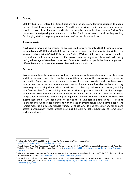# A. Driving

Mobility hubs are centered on transit stations and include many features designed to enable car-free travel throughout the region. Nevertheless, driving remains an important way for people to access transit stations, particularly in suburban areas. Features such as Park & Ride stations and smart parking make it more convenient for drivers to access transit, while providing EV charging stations helps to promote the use of zero-emission vehicles.

### *Average costs*

Purchasing a car can be expensive. The average used car costs roughly \$18,000,<sup>[6](#page-6-0)</sup> while a new car costs between \$15,000 and \$36,000.[7](#page-6-1) According to the American Automobile Association, the average cost of driving is  $$0.49-$0.74$  per mile.<sup>[8](#page-6-2)</sup> Many EVs have higher purchase prices than their conventional vehicle equivalents, but EV buyers often can buy a vehicle at reduced cost by taking advantage of state-level incentives, federal tax credits, or special leasing arrangements offered by manufacturers. EVs also cost less to drive and maintain.

### *Barriers*

Driving is significantly more expensive than transit or active transportation on a per-trip basis, and it can be more expensive than shared mobility services once the costs of owning a car are factored in. Twenty percent of people at or below the federal poverty line do not have access to a car, and car ownership rates are even lower for low-income minorities.<sup>[9](#page-6-3)</sup> Older adults may have to give up driving due to visual impairment or other physical issues. As a result, mobility hub features that focus on driving may not provide proportional benefits to disadvantaged populations. Even though the price premium for EVs is not as high as sticker prices would suggest due to incentives and leasing arrangements, the cost remains a barrier for some lowincome households. Another barrier to driving for disadvantaged populations is related to smart parking, which relies significantly on the use of smartphones. Low-income people and seniors make up a disproportionate number of those who do not have smartphones or bank access. Consequently, these groups may not be able to take advantage of some smart parking features.

<span id="page-6-0"></span>l <sup>6</sup> Sullivan, B., "Why 2016 Could Be a Great Year to Buy a Used Car," Time, March 28, 2016, [http://time.com/money/4273696/buying-a-used-car/.](http://time.com/money/4273696/buying-a-used-car/)

<span id="page-6-1"></span><sup>&</sup>lt;sup>7</sup> Press Release, "New-Car Transaction Prices Up 2 Percent In March 2016, Along With Increases In Incentive Spend, According To Kelley Blue Book," Kelley Blue Book, April 1, 2016[, http://mediaroom.kbb.com/new-car-transaction-prices-up-2-percent](http://mediaroom.kbb.com/new-car-transaction-prices-up-2-percent-march-2016)[march-2016.](http://mediaroom.kbb.com/new-car-transaction-prices-up-2-percent-march-2016)

<span id="page-6-2"></span><sup>&</sup>lt;sup>8</sup> AAA Association Communication, "Your Driving Costs: How much are you really paying to drive?" (2017 Edition), American Automobile Association, [http://newsroom.aaa.com/auto/your-driving-costs/.](http://newsroom.aaa.com/auto/your-driving-costs/)

<span id="page-6-3"></span><sup>9</sup> DeGood, K. and Schwartz, A., "Can New Transportation Technologies Improve Equity and Access to Opportunity?" Center for American Progress, April 2016, [https://cdn.americanprogress.org/wpcontent/uploads/2016/04/20121438/](https://cdn.americanprogress.org/wpcontent/uploads/2016/04/20121438/TransportEquity1.pdf) [TransportEquity1.pdf.](https://cdn.americanprogress.org/wpcontent/uploads/2016/04/20121438/TransportEquity1.pdf)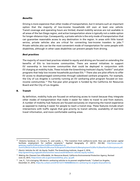### *Benefits*

Driving is more expensive than other modes of transportation, but it remains such an important option that the majority of low-income households still own at least one vehicle. Transit coverage and operating hours are limited, shared mobility services are not available in all areas of the San Diego region, and active transportation alone is typically not a viable option for longer-distance trips. Consequently, a private vehicle is the only mode of transportation that can guarantee reasonable access to any destination in the region. In areas with little transit service, private vehicles also are critical for connecting low-income travelers to jobs.<sup>[10](#page-7-0)</sup> Private vehicles also can be the most convenient mode of transportation for some people with disabilities, although in other cases disabilities can prevent people from driving.

## *Best practices*

The majority of recent best practices related to equity and driving are focused on extending the benefits of EVs to low-income communities. There are several initiatives to support EV ownership in low-income communities that could be deployed in conjunction with EV charging at mobility hubs. These include the Greenlining Institute's Equity Toolkit<sup>[11](#page-7-1)</sup> and pilot programs that help low-income households purchase EVs.<sup>[12](#page-7-2)</sup> There also are pilot efforts to offer EV access to disadvantaged communities through subsidized carshare programs. For example, the City of Los Angeles is currently running an EV carsharing pilot program focused on lowincome communities.[13](#page-7-3) The five-year pilot program is funded by the California Air Resources Board and the City of Los Angeles.

### B. Transit

By definition, mobility hubs are focused on enhancing access to transit because they integrate other modes of transportation that make it easier for riders to travel to and from stations. A number of mobility hub features are focused exclusively on improving the transit experience as opposed to making it easier for people to reach a transit stop. These features include smart intersections with traffic signals that give priority to transit vehicles, availability of real-time travel information, and more comfortable waiting areas.

<span id="page-7-0"></span>l <sup>10</sup> Onésimo Sandoval, J.S., Cervero, R., and Landis, J., "The transition from welfare-to-work: How cars and human capital facilitate employment for welfare recipients," Applied Geography 31 (2011): 352-362, [http://www.pacific](http://www.pacific-gateway.org/the%20transition%20from%20welfare-to-work%20how%20cars%20and%20human%20capital%20facilitate%20employment%20for%20welfare%20recipients.pdf)[gateway.org/the%20transition%20from%20welfare-to-](http://www.pacific-gateway.org/the%20transition%20from%20welfare-to-work%20how%20cars%20and%20human%20capital%20facilitate%20employment%20for%20welfare%20recipients.pdf)

[work%20how%20cars%20and%20human%20capital%20facilitate%20employment%20for%20welfare%20recipients.pdf.](http://www.pacific-gateway.org/the%20transition%20from%20welfare-to-work%20how%20cars%20and%20human%20capital%20facilitate%20employment%20for%20welfare%20recipients.pdf) 11 *Electric Vehicles for All: An Equity Toolkit*, The Greenlining Institute, August 3, 2016,

<span id="page-7-1"></span>[http://greenlining.org/publications/online-resources/2016/electric-vehicles-equity-toolkit/.](http://greenlining.org/publications/online-resources/2016/electric-vehicles-equity-toolkit/) 

<span id="page-7-2"></span><sup>12</sup> *Making the Cleanest Cars Affordable*, Air Resources Board, California Environmental Protection Agency, Revised June 23, 2015[, https://www.arb.ca.gov/newsrel/efmp\\_plus\\_up.pdf.](https://www.arb.ca.gov/newsrel/efmp_plus_up.pdf)

<span id="page-7-3"></span> $13$  Lee, P., "LA is bringing 100 electric carsharing vehicles to its poorest neighborhoods," Curbed Los Angeles, December 21, 2016, [https://la.curbed.com/2016/12/21/14046080/electric-carsharing-los-angeles-bluecalifornia.](https://la.curbed.com/2016/12/21/14046080/electric-carsharing-los-angeles-bluecalifornia)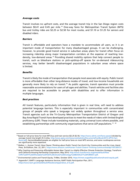### *Average costs*

Transit involves no upfront costs, and the average transit trip in the San Diego region costs between \$0.41 and 0.45 per mile.[14](#page-8-0) One-way fares for Metropolitan Transit System (MTS) bus and trolley rides are \$2.25 or \$2.50 for most routes, and \$1.10 or \$1.25 for seniors and disabled riders.

### *Barriers*

Transit is affordable and operators have a mandate to accommodate all users, so it is an important mode of transportation for many disadvantaged groups. It can be challenging, however, to provide good transit service in suburban areas; plans for transit often focus on increasing ridership along major transportation corridors at the expense of reaching lowdensity, low-demand areas.[15](#page-8-1) Providing shared mobility options that help connect people to transit, such as bikeshare stations or pick-up/drop-off spaces for on-demand ridesourcing services, may better benefit disadvantaged populations in suburban areas where space is limited.

### *Benefits*

Transit is likely the mode of transportation that people most associate with equity. Public transit is more affordable than other long-distance modes of travel, and low-income households are generally more likely to rely on transit.<sup>[16](#page-8-2)</sup> As public agencies, transit operators must provide reasonable accommodations for users of all ages and abilities. Transit vehicles and facilities also are required to be accessible to people with disabilities and to offer information in multiple languages.

### *Best practices*

All transit features, particularly information that is given in real time, will need to address potential language barriers. This is especially important in communities with concentrated groups of people who speak a language not widely spoken throughout a service area. Transit agencies such as the Tri-County Metropolitan Transportation District of Oregon and Bay Area Rapid Transit have developed practices to meet the needs of riders with limited English proficiency (LEP). These include translating materials, using universal icons where possible, and establishing partnerships with community organizations that serve LEP populations.<sup>[17,](#page-8-3) [18](#page-8-4)</sup>

<span id="page-8-0"></span> $\overline{\phantom{a}}$ <sup>14</sup> Based on full-price fares for most MTS bus and train service (\$2.25-\$2.50[, https://www.sdmts.com/fares-passes\)](https://www.sdmts.com/fares-passes) divided by average transit trip length (5.5 miles[, http://www.apta.com/resources/statistics/Documents/FactBook/2015-APTA-Fact-](http://www.apta.com/resources/statistics/Documents/FactBook/2015-APTA-Fact-Book.pdf)[Book.pdf\)](http://www.apta.com/resources/statistics/Documents/FactBook/2015-APTA-Fact-Book.pdf). Seniors/disabled people are eligible for half-price fares on most MTS services, and some rural/express services are significantly more expensive.

<span id="page-8-1"></span><sup>15</sup> Walker, J., *Human Transit: How Clearer Thinking about Public Transit Can Enrich Our Communities and Our Lives*, Island Press, 3rd Edition, Dec. 22, 2011, https://www.amazon.com/Human-Transit-Clearer-Thinking-Communities/dp/1597269727.

<span id="page-8-2"></span><sup>16</sup> *Why Creating and Preserving Affordable Homes Near Transit is a Highly Effective Climate Protection Strategy*, TransForm and California Housing Partnership Corporation, May 2014[, http://www.transformca.org/sites/default/files/](http://www.transformca.org/sites/default/files/CHPC%20TF%20Affordable%20TOD%20Climate%20Strategy%20BOOKLET%20FORMAT.pdf) [CHPC%20TF%20Affordable%20TOD%20Climate%20Strategy%20BOOKLET%20FORMAT.pdf.](http://www.transformca.org/sites/default/files/CHPC%20TF%20Affordable%20TOD%20Climate%20Strategy%20BOOKLET%20FORMAT.pdf) 

<span id="page-8-3"></span><sup>17</sup> *Environmental Justice and Transit Equity*, TriMet, October 2010[, https://trimet.org/pdfs/publications/transit-equity.pdf.](https://trimet.org/pdfs/publications/transit-equity.pdf)

<span id="page-8-4"></span><sup>&</sup>lt;sup>18</sup> Appendix F, BART's Language Assistance Services, BART Public Participation Plan, 2011, [https://www.bart.gov/sites/default/files/docs/Appendices\\_D-G.pdf.](https://www.bart.gov/sites/default/files/docs/Appendices_D-G.pdf)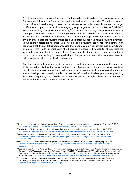Transit agencies also can consider new technology to help patrons better access transit services. For example, information "beacons" are being tested by various agencies. These beacons send transit information wirelessly to users who have Bluetooth-enabled smartphones and can target notifications to patrons from disadvantaged groups. Agencies such as LA Metro,<sup>[19](#page-9-0)</sup> TriMet,<sup>[20](#page-9-1)</sup> Massachusetts Bay Transportation Authority,<sup>[21](#page-9-2)</sup> and Santa Clara Valley Transportation Authority have partnered with various technology companies to provide turn-by-turn wayfinding instructions, real-time transit service updates at stations and stops, and other services. One could envision these beacons providing messages in various languages via phone, providing directions to wheelchair-accessible facilities at a station, and providing assistance for patrons with cognitive disabilities.<sup>[22](#page-9-3)</sup> It has been proposed that people could wear devices such as wristbands or glasses that could interact with the beacons, enabling individuals to obtain localized information without holding a smartphone.<sup>[23](#page-9-4)</sup> However, the deployment of beacons could raise privacy concerns, especially in cases in which public agencies partner with private companies to pair information about transit with marketing.

Real-time transit information can be provided through smartphone apps and cell phones, but it also should be displayed at transit waiting areas. An ever-increasing number of people have cell phones and smartphones, but low-income transit riders are less likely to have them and as a result be disproportionately unable to access the information. The best practice for providing information equitably is to provide "real-time information through at least two dissemination media and in both audio and visual formats."[24](#page-9-5)

<span id="page-9-0"></span> $\overline{\phantom{a}}$ <sup>19</sup> Nelson, L., "Beacon technology to target Union Station visitors with help, commerce," Los Angeles Times, Feb 3, 2015, [http://www.latimes.com/local/california/la-me-california-commute-20150203-story.html.](http://www.latimes.com/local/california/la-me-california-commute-20150203-story.html) 

<span id="page-9-1"></span> $20$  TriMet News, "TriMet to provide riders with another way to access real-time transit information," Mar 9, 2015, [http://news.trimet.org/2015/03/trimet-to-provide-riders-with-another-way-to-access-real-time-transit-information/.](http://news.trimet.org/2015/03/trimet-to-provide-riders-with-another-way-to-access-real-time-transit-information/) 

<span id="page-9-2"></span><sup>&</sup>lt;sup>21</sup> PRNewswire, "Intersection Pilots Beacon Technology in Select MBTA Rail Stations," Intersection, Sep 25, 2015, [http://www.prnewswire.com/news-releases/intersection-pilots-beacon-technology-in-select-mbta-rail-stations-](http://www.prnewswire.com/news-releases/intersection-pilots-beacon-technology-in-select-mbta-rail-stations-300149057.html)[300149057.html.](http://www.prnewswire.com/news-releases/intersection-pilots-beacon-technology-in-select-mbta-rail-stations-300149057.html) 

<span id="page-9-3"></span><sup>22</sup> Poon, L., "How a 'Smart' Public Transit System Can Better Serve Riders With Disabilities," CityLab, Sep 23, 2016, [http://www.citylab.com/commute/2016/09/rewiring-public-transit-to-better-serve-riders-with-disabilities-nsf](http://www.citylab.com/commute/2016/09/rewiring-public-transit-to-better-serve-riders-with-disabilities-nsf-ibeacons/501065/)[ibeacons/501065/.](http://www.citylab.com/commute/2016/09/rewiring-public-transit-to-better-serve-riders-with-disabilities-nsf-ibeacons/501065/) 

<span id="page-9-4"></span><sup>23</sup> *Wearables and Beacons: Using Contextually-Aware Technology to Improve Navigation of Public Transportation Spaces for Customers with Visual, Language, and Aging Challenges*, TRB IDEA Project Proposal: "Wearables and Beacons for Public Transportation," Control Group, Sachs Insights, Cubic Transportation Systems, New York Metropolitan Transportation Authority, 2014[, http://www.ecologyit.net/blog/wp-content/uploads/2014/05/IDEAProposal-Wearables-final.pdf.](http://www.ecologyit.net/blog/wp-content/uploads/2014/05/IDEAProposal-Wearables-final.pdf) 

<span id="page-9-5"></span><sup>24</sup> Schweiger, C., *Transit Cooperative Research Program (TRCP) Synthesis 91: Use and Deployment of Mobile Device Technology for Real-Time Transit Information*, Transportation Research Board of The National Academies, 2011, [http://www.trb.org/Publications/Blurbs/166249.aspx.](http://www.trb.org/Publications/Blurbs/166249.aspx)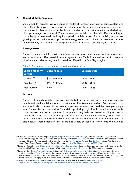## C. Shared Mobility Services

Shared mobility services involve a range of modes of transportation such as cars, scooters, and bikes. They also involve a variety of operational models, including carshare and bikeshare, which make fleets of vehicles available to users, and peer-to-peer ridesourcing, in which drivers pick up passengers on demand. These services vary widely, but they all offer the ability to conveniently request, track, and pay for trips with mobile devices. Shared mobility services are growing in popularity as smartphone technology continues to improve. However, because shared mobility services rely increasingly on mobile technology, social equity is a concern.

# *Average costs*

The cost of shared mobility services varies by transportation mode and operational model, and a given service can offer several different payment plans[. Table 3](#page-10-0) summarizes costs for carshare, bikeshare, and ridesourcing based on services offered in the San Diego region.

| <b>Shared Mobility</b><br><b>Service</b> | <b>Upfront cost</b> | <b>Cost per mile</b> |
|------------------------------------------|---------------------|----------------------|
| Carshare <sup>25</sup>                   | $$25 - $95$ /year   | $$1.05 - $1.81$      |
| Bikeshare <sup>26</sup>                  | $$99 - $199$ /year  | $$0.07 - $1.67$      |
| Ridesourcing <sup>27</sup>               | None                | $$1.24 - $1.65$      |

<span id="page-10-0"></span>*Table 3: Average costs of common shared mobility services*

## *Barriers*

The costs of shared mobility services vary widely, but such services are generally more expensive than transit, walking, biking, or even driving a car that is already paid off. Consequently, they are more likely to be used for occasional trips than for everyday travel. For example, people most frequently use ridesourcing for social trips during nighttime hours when many public transit services are not in operation.[28](#page-10-1) People who regularly use shared mobility services in conjunction with transit and other options often do save money because they do not need a car. In theory, this could benefit low-income households, but in practice this has not been the case because shared mobility services are not widely available in low-income communities.

<span id="page-10-2"></span> $\overline{\phantom{a}}$ <sup>25</sup> Based on Zipcar rates for San Diego [\(http://www.zipcar.com/check-rates/sandiego\)](http://www.zipcar.com/check-rates/sandiego). Annual costs are \$70/year for an occasional driving plan and a \$25 application fee. Hourly costs are \$8.55-\$10.50 per hour and assume two trips per hour of between 2.9 and 4.1 miles, based on trip lengths. From Cervero R., Golub, A., and Nee, B., "San Francisco City CarShare: Longer-Term Travel-Demand and Car Ownership Impacts," [http://iurd.berkeley.edu/wp/2006-07.pdf.](http://iurd.berkeley.edu/wp/2006-07.pdf)

<span id="page-10-3"></span><sup>&</sup>lt;sup>26</sup> Based on Decobike rates [\(http://www.decobike.com/sandiego/pricing\).](http://www.decobike.com/sandiego/pricing) Upper-end estimate assumes one three-mile trip for a single \$5 half-hour use; lower-end assumes 500 three-mile trips over the course of a \$99 annual membership.

<span id="page-10-4"></span><sup>&</sup>lt;sup>27</sup> Based on Uber [\(https://www.uber.com/ride/\)](https://www.uber.com/ride/) and Lyft [\(https://www.lyft.com/fare-estimate\)](https://www.lyft.com/fare-estimate) costs for a sample trip from San Diego to Chula Vista. Costs reflect the range of services, from standard services to more affordable pooled services such as uberPOOL and Lyft Line during normal hours. Using the luxury services offered by these companies, or taking rides during times when surge pricing is in effect, will significantly increase costs above the amounts shown here.

<span id="page-10-1"></span><sup>28</sup> *Shared Mobility and the Transformation of Public Transit*, Shared Use Mobility Center, March 2016, [https://www.apta.com/resources/reportsandpublications/Documents/APTA-Shared-Mobility.pdf.](https://www.apta.com/resources/reportsandpublications/Documents/APTA-Shared-Mobility.pdf)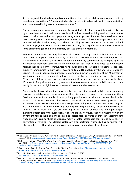Studies suggest that disadvantaged communities in cities that have bikeshare programs typically have less access to them.<sup>[29](#page-11-0)</sup> The same studies also have identified cases in which carshare stations are concentrated in higher-income communities.<sup>[30](#page-11-1)</sup>

The technology and payment requirements associated with shared mobility services also are significant barriers for low-income people and seniors. Shared mobility services often require users to make reservations and payment using a smartphone. Some carshare services – none that currently operate in San Diego – also require a user to have a smartphone to unlock a reserved vehicle. Furthermore, most shared mobility services require a credit card or bank account for payment. Shared mobility services also may face significant cultural resistance from some disadvantaged communities simply because they are unfamiliar.

Minority communities also may face several barriers to using shared mobility services. First, these services simply may not be widely available in these communities. Second, linguistic and cultural barriers may make it difficult for people in minority communities to navigate apps and instructional materials used for shared mobility services. Even in moderate- to high-income neighborhoods, minority communities have lower access to carshare or bikeshare than nonminority communities in many cities, according to a 2016 analysis by the Shared Use Mobility Center.[31](#page-11-2) These disparities are particularly pronounced in San Diego: only about 40 percent of low-income minority communities have access to shared mobility services, while nearly 70 percent of low-income non-minority communities have access. Meanwhile, only about 10 percent of high-income minority communities have access to shared mobility services, while nearly 50 percent of high-income non-minority communities have access.

People with physical disabilities also face barriers to using shared mobility services, chiefly because privately-owned services are unlikely to spend money to accommodate them. Carshare services, for example, do not typically provide vehicles that can be used by disabled drivers. It is true, however, that some traditional car rental companies provide some accommodations. For on-demand ridesourcing, accessibility options have been increasing but are still limited. After initially resisting meeting ADA requirements, for example, ridesourcing services such as Uber and Lyft are now improving service for deaf and blind passengers, including passengers with guide dogs. A recent article, however, reported finding few if any drivers trained to help seniors or disabled passengers, or vehicles that can accommodate wheelchairs.<sup>[32](#page-11-3)</sup> Despite these challenges, many disabled passengers can ride as passengers in conventional vehicles. The Massachusetts Bay Transportation Authority has partnered with Uber and Lyft to offer ridesourcing as an option to on-demand paratransit users.  $33$ 

<span id="page-11-0"></span> $\overline{\phantom{a}}$ <sup>29</sup> Ursaki, J. and Aultman-Hall, L., "Quantifying the Equity of Bikeshare Access in U.S. Cities," Transportation Research Board, August 1 2015, [http://chi.streetsblog.org/wp-content/uploads/sites/4/2016/03/Bikeshare\\_TRB\\_submission.pdf.](http://chi.streetsblog.org/wp-content/uploads/sites/4/2016/03/Bikeshare_TRB_submission.pdf)

<span id="page-11-1"></span><sup>30</sup> Shellooe, S., "Wheels When *Who* Wants Them: Assessing Social Equity and Access Implications of Carsharing in NYC," May 2013, [http://academiccommons.columbia.edu/download/fedora\\_content/download/ac:161981/CONTENT/](http://academiccommons.columbia.edu/download/fedora_content/download/ac:161981/CONTENT/Shellooe_Final_Thesis.pdf) [Shellooe\\_Final\\_Thesis.pdf.](http://academiccommons.columbia.edu/download/fedora_content/download/ac:161981/CONTENT/Shellooe_Final_Thesis.pdf)

<span id="page-11-2"></span><sup>31</sup> *Shared-Use Mobility Toolkit for Cities*, Shared Use Mobility Center, 2016, [http://sharedusemobilitycenter.org/wp](http://sharedusemobilitycenter.org/wp-content/uploads/2016/07/SUMC-Toolkit-Final-Report.pdf)[content/uploads/2016/07/SUMC-Toolkit-Final-Report.pdf.](http://sharedusemobilitycenter.org/wp-content/uploads/2016/07/SUMC-Toolkit-Final-Report.pdf)

<span id="page-11-3"></span><sup>&</sup>lt;sup>32</sup> Kelly, H., "Uber's services for the disabled lack actual cars," CNN, May 3, 2016, [http://money.cnn.com/2016/05/02/technology/uber-access/.](http://money.cnn.com/2016/05/02/technology/uber-access/) 

<span id="page-11-4"></span><sup>33</sup> Lazo, L., "Uber, Lyft partner with transportation authority to offer paratransit customers service in Boston," The Washington Post, September 16, 2016, [https://www.washingtonpost.com/news/dr-gridlock/wp/2016/09/16/uber-lyft](https://www.washingtonpost.com/news/dr-gridlock/wp/2016/09/16/uber-lyft-partner-with-city-to-offer-paratransit-customers-on-demand-service-in-boston/)[partner-with-city-to-offer-paratransit-customers-on-demand-service-in-boston/.](https://www.washingtonpost.com/news/dr-gridlock/wp/2016/09/16/uber-lyft-partner-with-city-to-offer-paratransit-customers-on-demand-service-in-boston/)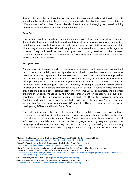Several cities are either testing adaptive bikeshare bicycles or are already providing citizens with a small number of them, but there is no single type of adaptive bike that can accommodate the different needs of all riders. These cities also have found it challenging for shared mobility services to accommodate equipment such as wheelchairs.<sup>[34](#page-12-0)</sup>

## *Benefits*

Low-income people generally use shared mobility services less than more affluent people. Some studies have suggested that shared mobility services can save people money, suggesting that low-income people have much to gain from these services if they are expanded into disadvantaged communities. This will require a concentrated effort from public agencies, however. They will need to work with providers to bring services to disadvantaged communities, conduct outreach to residents, and potentially even subsidize the cost. Some best practices are discussed below.

# *Best practices*

There are ways to help people who do not have a bank account and therefore access to a bank card to use shared mobility services. Agencies can work with shared-mode operators to ensure that non-card-based payment options are accepted or to take more comprehensive approaches, such as developing partnerships with local banks, credit unions, or nonprofit organizations to offer people prepaid cards or other payment options that do not require credit cards. An organization in Washington, District of Columbia, for example, created an escrow account to offer debit cards to people who did not have a bank account.<sup>[35](#page-12-1)</sup> Public agencies and other organizations also can cover upfront costs for low-income users. For example, the bikeshare program in Chicago, managed by the Chicago Department of Transportation, subsidizes enrollment fees for low-income people through its Divvy for Everyone program. Qualified participants can go to a designated enrollment center and pay \$5 for a one-year membership (memberships normally cost \$75 annually). Usage fees can be paid in cash at participating 7-Eleven and Family Dollar Stores. [36,](#page-12-2) [37](#page-12-3)

Outreach and support also can help promote shared mobility services in disadvantaged communities. In addition to online media, outreach programs should use billboards, other out-of-home advertisements, and/or fliers. These programs also should ensure that all informational materials are provided in the languages used by targeted populations. Language and cultural barriers may be best overcome by partnering with community organizations to develop outreach campaigns, or by enlisting the help of local residents.<sup>[38](#page-12-4)</sup>

<span id="page-12-0"></span> $\overline{\phantom{a}}$ <sup>34</sup> Editor, "Can Bikesharing Serve Disabled Riders?" Shared-Use Mobility Center, August 1, 2016, [http://sharedusemobilitycenter.org/news/can-bikesharing-serve-disabled-riders/.](http://sharedusemobilitycenter.org/news/can-bikesharing-serve-disabled-riders/)

<span id="page-12-1"></span><sup>35</sup> *Philadelphia Bike Share Strategic Business Plan*, Toole Design Group, Aug. 22, 2013, [http://www.bikesharephiladelphia.org/philastudy/completebusinessplan.pdf.](http://www.bikesharephiladelphia.org/philastudy/completebusinessplan.pdf)

<span id="page-12-2"></span><sup>&</sup>lt;sup>36</sup> Press Release: "Mayor Emanuel Announces Divvy Expanding Access to Popular Bike Share System through Divvy for Everyone (D4e) Program," Office of the Mayor, City of Chicago, July 7, 2015, [https://www.cityofchicago.org/city/en/depts/mayor/press\\_room/press\\_releases/2015/july/mayor-emanuel-announces-divvy](https://www.cityofchicago.org/city/en/depts/mayor/press_room/press_releases/2015/july/mayor-emanuel-announces-divvy-expanding-access-to-popular-bike-s.html)[expanding-access-to-popular-bike-s.html.](https://www.cityofchicago.org/city/en/depts/mayor/press_room/press_releases/2015/july/mayor-emanuel-announces-divvy-expanding-access-to-popular-bike-s.html)

<span id="page-12-3"></span><sup>37</sup> Divvy for Everyone (D4E) webpage, [https://www.divvybikes.com/pricing/d4e.](https://www.divvybikes.com/pricing/d4e)

<span id="page-12-4"></span><sup>38</sup> *Philadelphia Bike Share Strategic Business Plan*, Toole Design Group, Aug. 22, 2013, [http://www.bikesharephiladelphia.org/philastudy/completebusinessplan.pdf.](http://www.bikesharephiladelphia.org/philastudy/completebusinessplan.pdf)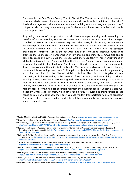For example, the San Mateo County Transit District (SamTrans) runs a Mobility Ambassador program, which trains volunteers to help seniors and people with disabilities to plan trips.<sup>[39](#page-13-0)</sup> Portland, Chicago, and other cities market shared mobility options to targeted populations.<sup>[40](#page-13-1),</sup> [41](#page-13-2) Agencies also can integrate phone support for shared mobility services with their main public transit support line.<sup>[42](#page-13-3)</sup>

A growing number of transportation stakeholders are experimenting with extending the benefits of shared mobility services to low-income communities and other disadvantaged populations. Motivate, which operates Bay Area Bike Share, is discounting its \$88 annual membership fee for riders who are eligible for their utility's low-income assistance program. Discounted memberships cost  $$5$  for the first year and  $$60$  thereafter.<sup>43</sup> The advocacy organization TransForm, also in the Bay Area, has been conducting extensive outreach to promote shared modes of transportation in low-income and minority communities and to collect feedback on how to make these modes work more equitably.<sup>[44](#page-13-5)</sup> This effort is funded by Motivate and a grant from People for Bikes. The City of Los Angeles recently announced a pilot program, funded by the California Air Resources Board, to bring electric carsharing to low-income communities in Central Los Angeles. The program adds new vehicles and charging stations while recruiting new users.<sup>[45](#page-13-6)</sup> This pilot project is the first step in implementing a policy described in the Shared Mobility Action Plan for Los Angeles County. The policy calls for extending public transit's focus on equity and accessibility to shared mobility.[46](#page-13-7) Many cities are experimenting with partnerships with ridesourcing companies, in order to fund trips that connect to transit. Among them is Centennial, Colorado, a suburb of Denver, that partnered with Lyft to offer free rides to the city's light rail station. The goal is to help the city's growing number of seniors maintain their independence.<sup>[47](#page-13-8)</sup> Centennial also runs a Mobility Ambassador Program, which developed a resource guide and trains seniors to lead hands-on seminars about how their peers can use modern transportation tools and services.<sup>[48](#page-13-9)</sup> Pilot projects like this one could be models for establishing mobility hubs in suburban areas in a more equitable way.

 $\overline{\phantom{a}}$ 

<span id="page-13-0"></span><sup>&</sup>lt;sup>39</sup> Senior Mobility Initiative, Mobility Ambassadors webpage, SamTrans, http://www.seniormobility.org/ambassadors.html.

<span id="page-13-1"></span><sup>40</sup> SmartTrips website:, Portland Bureau of Transportation[, http://www.portlandoregon.gov/transportation/43801.](http://www.portlandoregon.gov/transportation/43801)

<span id="page-13-2"></span><sup>41</sup> Greenfield, J., "Go Pilsen TDM Program Encourages Walking, Biking and Transit Use," StreetsBlog Chicago, July 7, 2014, [http://chi.streetsblog.org/2014/07/07/go-pilsen-tdm-program-encourages-walking-biking-and-transit-use/.](http://chi.streetsblog.org/2014/07/07/go-pilsen-tdm-program-encourages-walking-biking-and-transit-use/) 

<span id="page-13-3"></span><sup>42</sup> Espino, J. and Truong, V., *Electric Carsharing in Underserved Communities: Considerations for Program Success*, The Greenlining Institute, January 2015, [http://greenlining.org/wp-content/uploads/2015/01/Electric-Carsharing-in-Underserved-](http://greenlining.org/wp-content/uploads/2015/01/Electric-Carsharing-in-Underserved-Communities-spreads.pdf)[Communities-spreads.pdf.](http://greenlining.org/wp-content/uploads/2015/01/Electric-Carsharing-in-Underserved-Communities-spreads.pdf) 

<span id="page-13-4"></span><sup>43</sup> Baldassari, E., "Bay Area Bike Share to offer cash payments, reduced fares to low-income cyclists," *East Bay Times*, October 19, 2016[, http://www.eastbaytimes.com/2016/10/19/bay-area-bike-share-to-offer-cash-payments-reduced-fares-to](http://www.eastbaytimes.com/2016/10/19/bay-area-bike-share-to-offer-cash-payments-reduced-fares-to-low-income-cyclists/)[low-income-cyclists/.](http://www.eastbaytimes.com/2016/10/19/bay-area-bike-share-to-offer-cash-payments-reduced-fares-to-low-income-cyclists/) 

<span id="page-13-5"></span><sup>&</sup>lt;sup>44</sup> "New shared mobility choices shouldn't leave people behind," Shared Mobility website, TransForm, [http://www.transformca.org/landing-page/shared-mobility-all.](http://www.transformca.org/landing-page/shared-mobility-all) 

<span id="page-13-6"></span><sup>45</sup> Editor, "SUMC to Help Lead \$1.6 Million Low-Income Carsharing Pilot in LA," Shared Use Mobility Center, July 24, 2015, [http://sharedusemobilitycenter.org/news/sumc-to-help-lead-1-6-million-low-income-carsharing-pilot-in-la/.](http://sharedusemobilitycenter.org/news/sumc-to-help-lead-1-6-million-low-income-carsharing-pilot-in-la/)

<span id="page-13-7"></span><sup>46</sup> *Los Angeles County Shared Mobility Action Plan*, Shared-Use Mobility Center, September 2016, [https://assets.documentcloud.org/documents/3107597/LA-County-Shared-Mobility-Action-Plan.pdf.](https://assets.documentcloud.org/documents/3107597/LA-County-Shared-Mobility-Action-Plan.pdf)

<span id="page-13-8"></span><sup>&</sup>lt;sup>47</sup> Bliss, L., "A Denver Suburb Bets Big on Free Lyft Rides to Light Rail," CityLab, August 9, 2016, [http://www.citylab.com/commute/2016/08/centennial-lyft-transit-partnership/495080/.](http://www.citylab.com/commute/2016/08/centennial-lyft-transit-partnership/495080/) 

<span id="page-13-9"></span><sup>48</sup> City of Centennial Senior Commission website: [http://www.centennialco.gov/Government/senior-commission.aspx.](http://www.centennialco.gov/Government/senior-commission.aspx)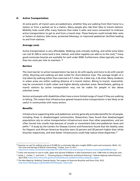# D. Active Transportation

At some point, all transit users are pedestrians, whether they are walking from their home to a station or from a parked car to a station. Many people also ride their bike to transit stations. Mobility hubs could offer many features that make it safer and more convenient to embrace active transportation to get to and from a transit stop. These features could include bike racks or lockers at stations, bike lanes, protected bikeways, or improved pedestrian facilities leading to and from stations.

# *Average costs*

Active transportation is very affordable. Walking costs virtually nothing, and while some bikes can cost \$1,300 or more (and a lock, helmet, and other supplies can add on to the cost),  $49$  many good commuter bicycles are available for well under \$500. Furthermore, bikes typically cost less than ten cents per mile to maintain. [50](#page-14-1) 

# *Barriers*

The main barrier to active transportation has less to do with equity and more to do with overall utility. Bicycling and walking are best suited for short-distance trips. The average length of a trip taken by walking (other than exercise) is 0.7 miles; for a bike trip, 2.26 miles. Many residents in urban areas are within walking distance of a transit station. Biking to transit, meanwhile, may be convenient in both urban and higher-density suburban areas. Nevertheless, getting to transit stations by active transportation may not be viable for people in less dense suburban areas.

Seniors and people with disabilities often have a more limited range of travel if they are walking or biking. This means that infrastructure geared toward active transportation is less likely to be useful in communities with many seniors.

# *Benefits*

Infrastructure supporting bike and pedestrian activity generally provides benefits for all people, including those in disadvantaged communities. Researchers have found that disadvantaged populations rely on active transportation infrastructure more than other populations, and are often forced into unsafe trips because of unsafe or nonexistent bike and pedestrian lanes and paths.[51](#page-14-2) A study by the Centers for Disease Control and Prevention found that the fatality rates for Hispanic and African-American bicyclists were 23 percent and 30 percent higher than white bicyclists respectively, and that better infrastructure could help reduce these disparities.<sup>[52](#page-14-3)</sup>

<span id="page-14-0"></span>l  $49$  Assumes no cost for walking and up to \$1,000 for a commuter bike plus roughly \$300 in parts and accessories. (Roth, J.D., The Costs and Savings of Bicycle Commuting," Forbes, June 15, 2011, [http://www.forbes.com/sites/moneybuilder/2011/06/15/the-costs-and-savings-of-bicycle-commuting/#3d0f8c02c1da.\)](http://www.forbes.com/sites/moneybuilder/2011/06/15/the-costs-and-savings-of-bicycle-commuting/#3d0f8c02c1da)

<span id="page-14-1"></span> $50$  Lower end assumes no cost to walk; upper end assumes \$100/year in bike maintenance over 1,000 miles of riding per year.

<span id="page-14-2"></span><sup>51</sup> Sandt, L., Combs, T., and Cohn, J., "Pursuing Equity in Pedestrian and Bicycle Planning," Federal Highway Administration, April 2016[, https://www.fhwa.dot.gov/environment/bicycle\\_pedestrian/resources/equity\\_paper/.](https://www.fhwa.dot.gov/environment/bicycle_pedestrian/resources/equity_paper/) 

<span id="page-14-3"></span><sup>52</sup> *The New Majority: Pedaling Towards Equity*, The League of American Bicyclists and Sierra Club, 2013, [http://www.bikeleague.org/sites/default/files/equity\\_report.pdf.](http://www.bikeleague.org/sites/default/files/equity_report.pdf)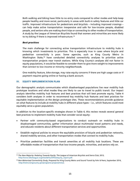Both walking and biking have little to no entry costs compared to other modes and help keep people healthy and more social, particularly in areas with built-in safety features and little car traffic. Improved infrastructure for pedestrians and bicyclists – including improved crossings – can help make active transportation inexpensive and safe for low-income people, disabled people, and seniors who are making short trips or connecting to other modes of transportation. A study by the League of American Bicyclists found that women and minorities are more likely to try biking if there is improved infrastructure.<sup>[53](#page-15-1)</sup>

### *Best practices*

The main challenge for connecting active transportation infrastructure to mobility hubs is knowing which investments to prioritize. This is especially true in cases where bicycle and pedestrian connectivity is poor. Some agencies, such as King County Metro in Washington State,<sup>[54](#page-15-2)</sup> have conducted detailed connectivity analyses to prioritize active transportation projects near transit stations. While King County's analyses did not factor in equity populations, it would be feasible to consider them to give more weight to improvements that connect to low-income or minority neighborhoods.

One mobility feature, bike storage, may raise equity concerns if there are high usage costs or if payment requires going online or having a bank account.

## IV. EQUITY IMPLEMENTATION PLAN

Our demographic analysis communicates which disadvantaged populations live near mobility hub prototype locations and what modes they are likely to use to travel to public transit. Our impact analysis identifies mobility hub features and best practices that will best promote equity. [Table 4](#page-15-0) considers both analyses in order to recommend key mobility hub features and best practices for equitable implementation at the design prototype sites. These recommendations provide guidance on what features to include at mobility hubs in different place-types – i.e., which features could most equitably serve a given population.

In addition to the location-specific strategies shown in Table 4, this review reveals several general best practices to implement mobility hubs that consider social equity:

- Partner with community-based organizations to conduct outreach on mobility hubs in disadvantaged communities, gather information about multimodal travel patterns and needs, and educate residents about different transportation services and opportunities.
- Establish regional policies to ensure the equitable provision of bicycle and pedestrian networks, shared mobility services, and other transportation modes that connect to mobility hubs.
- <span id="page-15-0"></span>• Prioritize pedestrian facilities and transit amenities at all mobility hub locations. These are affordable modes of transportation that low-income people, minorities, and seniors rely on.

<span id="page-15-1"></span> $\overline{\phantom{a}}$ <sup>53</sup> *The New Majority: Pedaling Towards Equity*, The League of American Bicyclists and Sierra Club, 2013, [http://www.bikeleague.org/sites/default/files/equity\\_report.pdf.](http://www.bikeleague.org/sites/default/files/equity_report.pdf)

<span id="page-15-2"></span><sup>54</sup> *Non-Motorized Connectivity Study*, Prepared for King County Metro and Sound Transit by Fehr & Peers, September 2014, [http://metro.kingcounty.gov/programs-projects/nmcs/.](http://metro.kingcounty.gov/programs-projects/nmcs/)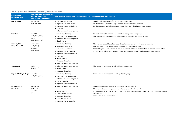# *Table 4: Key equity features and best practices for potential mobility hubs*

| <b>Mobility hub</b><br>prototype sites        | <b>Disadvantaged communities</b><br>near the prototypes<br>(and likely travel modes) | Key mobility hub features to promote equity                                                                                                                                                                                                            | <b>Implementation best practices</b>                                                                                                                                                                                                                                           |
|-----------------------------------------------|--------------------------------------------------------------------------------------|--------------------------------------------------------------------------------------------------------------------------------------------------------------------------------------------------------------------------------------------------------|--------------------------------------------------------------------------------------------------------------------------------------------------------------------------------------------------------------------------------------------------------------------------------|
| <b>Barrio Logan</b>                           | Low-income<br>(bike and walk)                                                        | • Bike racks and lockers<br>• Improved bike lanes/paths<br>• Improved pedestrian facilities<br>• Bikeshare<br>• Enhanced transit waiting areas                                                                                                         | • Subsidize bikeshare service for low-income communities<br>• Create payment options for people without smartphones/bank<br>• Conduct outreach and education to promote bikeshare in low-i                                                                                     |
| <b>Brawley</b>                                | Minority<br>(walk, bike, drive)<br>Senior<br>(walk, bike, drive)                     | • Transit signal priority<br>• Real-time travel information<br>• Enhanced transit waiting areas<br>• Shuttle service                                                                                                                                   | • Ensure that transit information is available in locally-spoken lar<br>• Pilot beacon technology to target information on accessible fea                                                                                                                                      |
| <b>City Heights/</b><br><b>State Route 15</b> | Low-income<br>(walk, bike)<br>Minority<br>(walk, bike)                               | • Transit signal priority<br>• Dedicated transit lanes<br>• Bike racks and lockers<br>• Improved bike lanes/paths<br>• Improved pedestrian facilities<br>• Bikeshare<br>• Shuttle service<br>• On-demand rideshare<br>• Enhanced transit waiting areas | • Pilot projects to subsidize bikeshare and rideshare services for le<br>• Pilot payment options for people without smartphones/bank ad<br>• Conduct targeted outreach and education to promote bikeshar<br>• Provide free or subsidized shuttles or on-demand rideshare serve |
| Grossmont                                     | Senior<br>(bike, drive)                                                              | • Enhanced transit waiting areas<br>• Shuttle service<br>• On-demand rideshare                                                                                                                                                                         | • Pilot concierge services for people without smartphones                                                                                                                                                                                                                      |
| <b>Imperial Valley College</b>                | Minority<br>(walk, bike, drive)                                                      | • Transit signal priority<br>• Real-time travel information<br>• Enhanced transit waiting areas<br>• Bike lanes/paths<br>• Improved pedestrian facilities                                                                                              | • Provide transit information in locally-spoken languages                                                                                                                                                                                                                      |
| <b>National City/</b><br><b>8th Street</b>    | Low-income<br>(bike, drive)<br>Minority<br>(drive)                                   | • Enhanced transit waiting areas<br>• Bikeshare<br>• Shuttle service<br>• Car/scooter/NEV share<br>• On-demand rideshare<br>• Bike racks and lockers<br>• Improved bike lanes/paths                                                                    | • Subsidize shared mobility services for low-income communities<br>• Pilot payment options for people without smartphones/bank ad<br>• Conduct targeted outreach and education to promote bikeshar<br>communities<br>• Provide free or low-cost shuttles                       |

bank accounts low-income communities

ken languages ble features to seniors

for low-income communities ank accounts keshare and rideshare in minority communities re services for low-income communities

ank accounts keshare and rideshare in low-income and minority